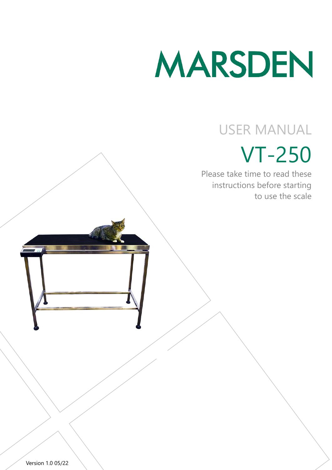# MARSDEN

# USER MANUAL

# VT-250

Please take time to read these instructions before starting to use the scale

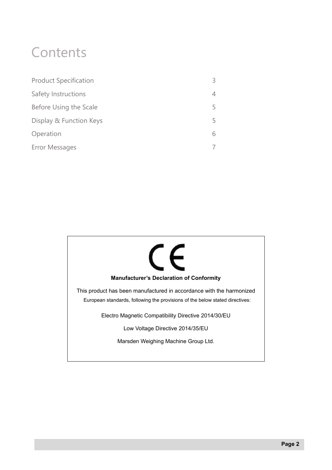# **Contents**

| <b>Product Specification</b> | 3 |
|------------------------------|---|
| Safety Instructions          | 4 |
| Before Using the Scale       | 5 |
| Display & Function Keys      | 5 |
| Operation                    | 6 |
| <b>Error Messages</b>        | 7 |
|                              |   |

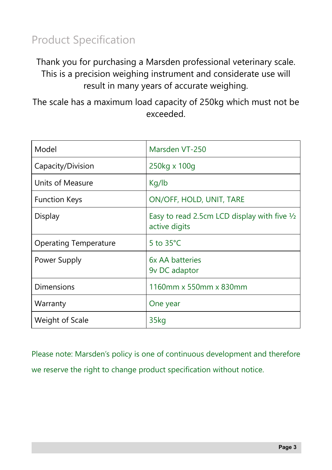## Product Specification

Thank you for purchasing a Marsden professional veterinary scale. This is a precision weighing instrument and considerate use will result in many years of accurate weighing.

The scale has a maximum load capacity of 250kg which must not be exceeded.

| Model                        | Marsden VT-250                                                          |
|------------------------------|-------------------------------------------------------------------------|
| Capacity/Division            | 250kg x 100g                                                            |
| Units of Measure             | Kg/lb                                                                   |
| <b>Function Keys</b>         | ON/OFF, HOLD, UNIT, TARE                                                |
| <b>Display</b>               | Easy to read 2.5cm LCD display with five $\frac{1}{2}$<br>active digits |
| <b>Operating Temperature</b> | 5 to $35^{\circ}$ C                                                     |
| Power Supply                 | 6x AA batteries<br>9v DC adaptor                                        |
| <b>Dimensions</b>            | 1160mm x 550mm x 830mm                                                  |
| Warranty                     | One year                                                                |
| Weight of Scale              | 35kg                                                                    |

Please note: Marsden's policy is one of continuous development and therefore we reserve the right to change product specification without notice.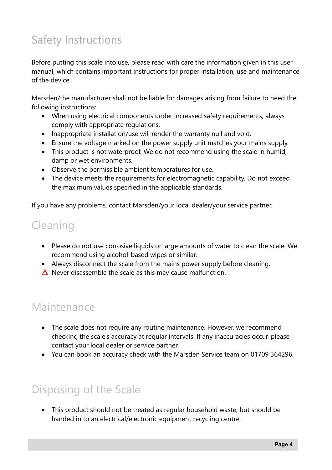# Safety Instructions

Before putting this scale into use, please read with care the information given in this user manual, which contains important instructions for proper installation, use and maintenance of the device.

Marsden/the manufacturer shall not be liable for damages arising from failure to heed the following instructions:

- When using electrical components under increased safety requirements, always comply with appropriate regulations.
- Inappropriate installation/use will render the warranty null and void.
- Ensure the voltage marked on the power supply unit matches your mains supply.
- This product is not waterproof. We do not recommend using the scale in humid, damp or wet environments.
- Observe the permissible ambient temperatures for use.
- The device meets the requirements for electromagnetic capability. Do not exceed the maximum values specified in the applicable standards.

If you have any problems, contact Marsden/your local dealer/your service partner.

#### Cleaning

- Please do not use corrosive liquids or large amounts of water to clean the scale. We recommend using alcohol-based wipes or similar.
- Always disconnect the scale from the mains power supply before cleaning.
- $\triangle$  Never disassemble the scale as this may cause malfunction.

#### Maintenance

- The scale does not require any routine maintenance. However, we recommend checking the scale's accuracy at regular intervals. If any inaccuracies occur, please contact your local dealer or service partner.
- You can book an accuracy check with the Marsden Service team on 01709 364296.

#### Disposing of the Scale

• This product should not be treated as regular household waste, but should be handed in to an electrical/electronic equipment recycling centre.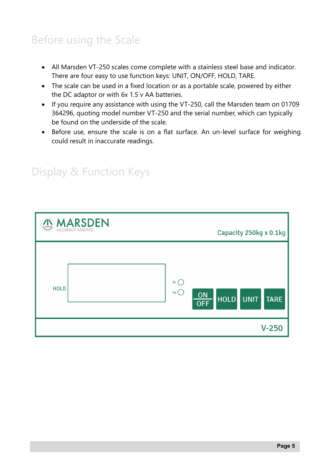## Before using the Scale

- All Marsden VT-250 scales come complete with a stainless steel base and indicator. There are four easy to use function keys: UNIT, ON/OFF, HOLD, TARE.
- The scale can be used in a fixed location or as a portable scale, powered by either the DC adaptor or with 6x 1.5 v AA batteries.
- If you require any assistance with using the VT-250, call the Marsden team on 01709 364296, quoting model number VT-250 and the serial number, which can typically be found on the underside of the scale.
- Before use, ensure the scale is on a flat surface. An un-level surface for weighing could result in inaccurate readings.

| <b>IN MARSDEN</b> | Capacity 250kg x 0.1kg                                                 |
|-------------------|------------------------------------------------------------------------|
| <b>HOLD</b>       | $\mathsf{lb}$ (<br>kg(<br>ON<br>HOLD UNIT<br><b>TARE</b><br><b>OFF</b> |
|                   | $V-250$                                                                |

#### Display & Function Keys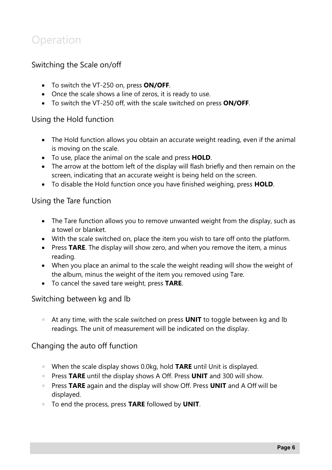#### **Operation**

#### Switching the Scale on/off

- To switch the VT-250 on, press **ON/OFF**.
- Once the scale shows a line of zeros, it is ready to use.
- To switch the VT-250 off, with the scale switched on press **ON/OFF**.

#### Using the Hold function

- The Hold function allows you obtain an accurate weight reading, even if the animal is moving on the scale.
- To use, place the animal on the scale and press **HOLD**.
- The arrow at the bottom left of the display will flash briefly and then remain on the screen, indicating that an accurate weight is being held on the screen.
- To disable the Hold function once you have finished weighing, press **HOLD**.

#### Using the Tare function

- The Tare function allows you to remove unwanted weight from the display, such as a towel or blanket.
- With the scale switched on, place the item you wish to tare off onto the platform.
- Press **TARE**. The display will show zero, and when you remove the item, a minus reading.
- When you place an animal to the scale the weight reading will show the weight of the album, minus the weight of the item you removed using Tare.
- To cancel the saved tare weight, press **TARE**.

#### Switching between kg and lb

• At any time, with the scale switched on press **UNIT** to toggle between kg and lb readings. The unit of measurement will be indicated on the display.

#### Changing the auto off function

- When the scale display shows 0.0kg, hold **TARE** until Unit is displayed.
- Press **TARE** until the display shows A Off. Press **UNIT** and 300 will show.
- Press **TARE** again and the display will show Off. Press **UNIT** and A Off will be displayed.
- To end the process, press **TARE** followed by **UNIT**.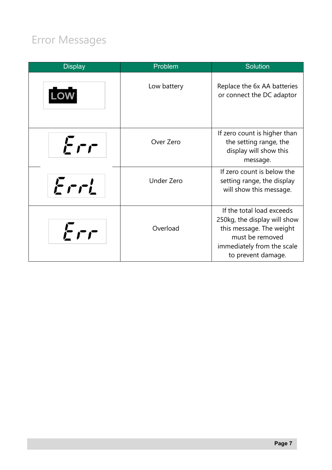# Error Messages

| <b>Display</b> | Problem           | <b>Solution</b>                                                                                                                                              |
|----------------|-------------------|--------------------------------------------------------------------------------------------------------------------------------------------------------------|
|                | Low battery       | Replace the 6x AA batteries<br>or connect the DC adaptor                                                                                                     |
| Err            | Over Zero         | If zero count is higher than<br>the setting range, the<br>display will show this<br>message.                                                                 |
| Eril           | <b>Under Zero</b> | If zero count is below the<br>setting range, the display<br>will show this message.                                                                          |
| Fr             | Overload          | If the total load exceeds<br>250kg, the display will show<br>this message. The weight<br>must be removed<br>immediately from the scale<br>to prevent damage. |